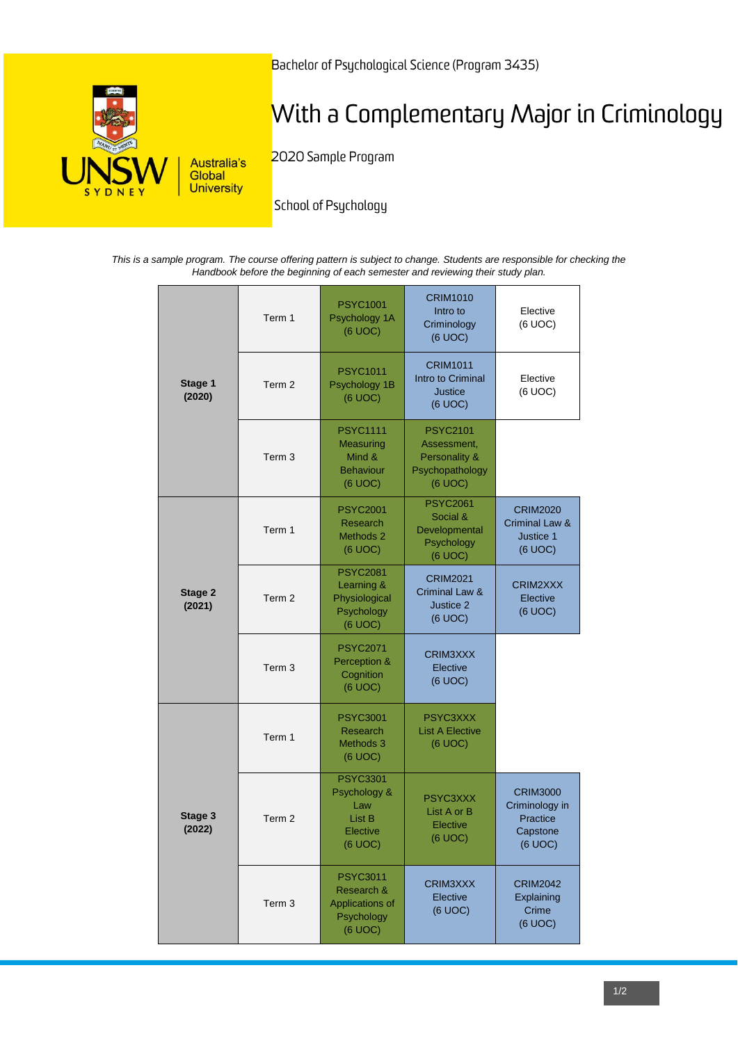

Bachelor of Psychological Science (Program 3435)

# With a Complementary Major in Criminology

2020 Sample Program

School of Psychology

*This is a sample program. The course offering pattern is subject to change. Students are responsible for checking the Handbook before the beginning of each semester and reviewing their study plan.*

| Stage 1<br>(2020) | Term 1            | <b>PSYC1001</b><br>Psychology 1A<br>(6 UOC)                               | <b>CRIM1010</b><br>Intro to<br>Criminology<br>(6 UOC)                         | Elective<br>(6 UOC)                                                  |
|-------------------|-------------------|---------------------------------------------------------------------------|-------------------------------------------------------------------------------|----------------------------------------------------------------------|
|                   | Term 2            | <b>PSYC1011</b><br>Psychology 1B<br>(6 UOC)                               | <b>CRIM1011</b><br>Intro to Criminal<br><b>Justice</b><br>(6 UOC)             | Elective<br>(6 UOC)                                                  |
|                   | Term <sub>3</sub> | <b>PSYC1111</b><br>Measuring<br>Mind &<br><b>Behaviour</b><br>(6 UOC)     | <b>PSYC2101</b><br>Assessment,<br>Personality &<br>Psychopathology<br>(6 UOC) |                                                                      |
| Stage 2<br>(2021) | Term 1            | <b>PSYC2001</b><br>Research<br>Methods 2<br>(6 UOC)                       | <b>PSYC2061</b><br>Social &<br>Developmental<br>Psychology<br>(6 UOC)         | <b>CRIM2020</b><br>Criminal Law &<br>Justice 1<br>(6 UOC)            |
|                   | Term <sub>2</sub> | <b>PSYC2081</b><br>Learning &<br>Physiological<br>Psychology<br>(6 UOC)   | <b>CRIM2021</b><br>Criminal Law &<br>Justice 2<br>(6 UOC)                     | CRIM2XXX<br>Elective<br>(6 UOC)                                      |
|                   | Term <sub>3</sub> | <b>PSYC2071</b><br>Perception &<br>Cognition<br>(6 UOC)                   | CRIM3XXX<br>Elective<br>(6 UOC)                                               |                                                                      |
|                   | Term 1            | <b>PSYC3001</b><br>Research<br>Methods 3<br>(6 UOC)                       | PSYC3XXX<br><b>List A Elective</b><br>(6 UOC)                                 |                                                                      |
| Stage 3<br>(2022) | Term <sub>2</sub> | <b>PSYC3301</b><br>Psychology &<br>Law<br>List B<br>Elective<br>(6 UOC)   | PSYC3XXX<br>List A or B<br>Elective<br>(6 UOC)                                | <b>CRIM3000</b><br>Criminology in<br>Practice<br>Capstone<br>(6 UOC) |
|                   | Term 3            | <b>PSYC3011</b><br>Research &<br>Applications of<br>Psychology<br>(6 UOC) | CRIM3XXX<br>Elective<br>(6 UOC)                                               | <b>CRIM2042</b><br>Explaining<br>Crime<br>(6 UOC)                    |